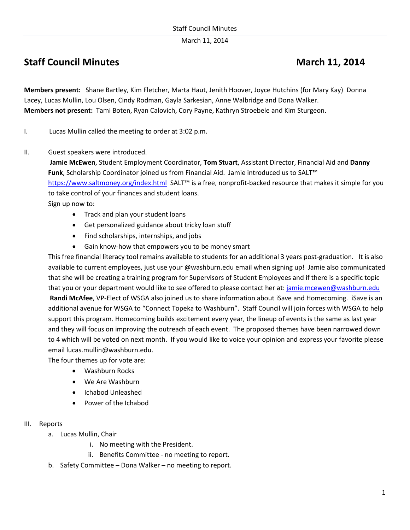March 11, 2014

# **Staff Council Minutes March** 11, 2014

**Members present:** Shane Bartley, Kim Fletcher, Marta Haut, Jenith Hoover, Joyce Hutchins (for Mary Kay) Donna Lacey, Lucas Mullin, Lou Olsen, Cindy Rodman, Gayla Sarkesian, Anne Walbridge and Dona Walker. **Members not present:** Tami Boten, Ryan Calovich, Cory Payne, Kathryn Stroebele and Kim Sturgeon.

I. Lucas Mullin called the meeting to order at 3:02 p.m.

II. Guest speakers were introduced.

**Jamie McEwen**, Student Employment Coordinator, **Tom Stuart**, Assistant Director, Financial Aid and **Danny Funk**, Scholarship Coordinator joined us from Financial Aid. Jamie introduced us to SALT™ <https://www.saltmoney.org/index.html>SALT™ is a free, nonprofit-backed resource that makes it simple for you to take control of your finances and student loans. Sign up now to:

- Track and plan your student loans
- Get personalized guidance about tricky loan stuff
- Find scholarships, internships, and jobs
- Gain know-how that empowers you to be money smart

This free financial literacy tool remains available to students for an additional 3 years post-graduation. It is also available to current employees, just use your @washburn.edu email when signing up! Jamie also communicated that she will be creating a training program for Supervisors of Student Employees and if there is a specific topic that you or your department would like to see offered to please contact her at[: jamie.mcewen@washburn.edu](mailto:jamie.mcewen@washburn.edu) **Randi McAfee**, VP-Elect of WSGA also joined us to share information about iSave and Homecoming. iSave is an additional avenue for WSGA to "Connect Topeka to Washburn". Staff Council will join forces with WSGA to help support this program. Homecoming builds excitement every year, the lineup of events is the same as last year and they will focus on improving the outreach of each event. The proposed themes have been narrowed down to 4 which will be voted on next month. If you would like to voice your opinion and express your favorite please email lucas.mullin@washburn.edu.

The four themes up for vote are:

- Washburn Rocks
- We Are Washburn
- Ichabod Unleashed
- Power of the Ichabod

## III. Reports

- a. Lucas Mullin, Chair
	- i. No meeting with the President.
	- ii. Benefits Committee no meeting to report.
- b. Safety Committee Dona Walker no meeting to report.